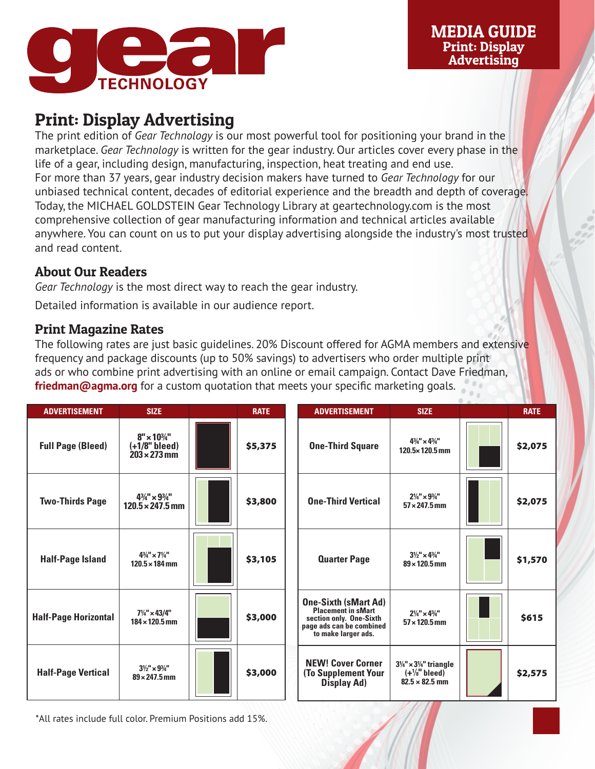

## Print: Display Advertising

The print edition of *Gear Technology* is our most powerful tool for positioning your brand in the marketplace. *Gear Technology* is written for the gear industry. Our articles cover every phase in the life of a gear, including design, manufacturing, inspection, heat treating and end use. For more than 37 years, gear industry decision makers have turned to *Gear Technology* for our unbiased technical content, decades of editorial experience and the breadth and depth of coverage. Today, the MICHAEL GOLDSTEIN Gear Technology Library at geartechnology.com is the most comprehensive collection of gear manufacturing information and technical articles available anywhere. You can count on us to put your display advertising alongside the industry's most trusted and read content.

## About Our Readers

*Gear Technology* is the most direct way to reach the gear industry.

Detailed information is available in our audience report.

## Print Magazine Rates

The following rates are just basic guidelines. 20% Discount offered for AGMA members and extensive frequency and package discounts (up to 50% savings) to advertisers who order multiple print ads or who combine print advertising with an online or email campaign. Contact Dave Friedman, **friedman@agma.org** for a custom quotation that meets your specific marketing goals.

| <b>ADVERTISEMENT</b>        | <b>SIZE</b>                                                          | <b>RATE</b> | <b>ADVERTISEMENT</b>                                                                                                                   | <b>SIZE</b>                                                                                       | <b>RATE</b> |
|-----------------------------|----------------------------------------------------------------------|-------------|----------------------------------------------------------------------------------------------------------------------------------------|---------------------------------------------------------------------------------------------------|-------------|
| <b>Full Page (Bleed)</b>    | $8'' \times 10^{3/4}$<br>$(+1/8"$ bleed)<br>$203 \times 273$ mm      | \$5,375     | <b>One-Third Square</b>                                                                                                                | $4^{3}/_{4}'' \times 4^{3}/_{4}''$<br>$120.5 \times 120.5$ mm                                     | \$2,075     |
| <b>Two-Thirds Page</b>      | $4\frac{3}{4}$ " × $9\frac{3}{4}$ "<br>$120.5 \times 247.5$ mm       | \$3,800     | <b>One-Third Vertical</b>                                                                                                              | $2\frac{1}{4}$ " × $9\frac{3}{4}$ "<br>$57 \times 247.5$ mm                                       | \$2,075     |
| <b>Half-Page Island</b>     | $4^{3}/_{4}'' \times 7\frac{1}{4}''$<br>$120.5 \times 184 \,\rm{mm}$ | \$3,105     | <b>Quarter Page</b>                                                                                                                    | $3\frac{1}{2}$ " × 4 $\frac{3}{4}$ "<br>$89 \times 120.5$ mm                                      | \$1,570     |
| <b>Half-Page Horizontal</b> | $7\frac{1}{4}$ " × 43/4"<br>$184 \times 120.5$ mm                    | \$3,000     | <b>One-Sixth (sMart Ad)</b><br><b>Placement in sMart</b><br>section only. One-Sixth<br>page ads can be combined<br>to make larger ads. | $2\frac{1}{4}$ " × 43/4"<br>$57 \times 120.5$ mm                                                  | \$615       |
| <b>Half-Page Vertical</b>   | $3\frac{1}{2}$ " × $9\frac{3}{4}$ "<br>$89 \times 247.5$ mm          | \$3,000     | <b>NEW! Cover Corner</b><br><b>(To Supplement Your</b><br><b>Display Ad)</b>                                                           | $3\frac{1}{4}$ " × $3\frac{1}{4}$ " triangle<br>$(+\frac{1}{8}$ " bleed)<br>$82.5 \times 82.5$ mm | \$2,575     |

\*All rates include full color. Premium Positions add 15%.